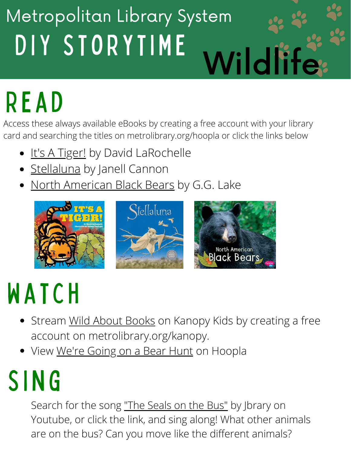#### DIY STORYTIME Metropolitan Library System Wildlife

# READ

Access these always available eBooks by creating a free account with your library card and searching the titles on metrolibrary.org/hoopla or click the links below

- <u>It's A [Tiger!](https://www.hoopladigital.com/title/14866683)</u> by David LaRochelle  $\bullet$
- [Stellaluna](https://www.hoopladigital.com/title/14818431) by Janell Cannon
- North [American](https://www.hoopladigital.com/title/13810892) Black Bears by G.G. Lake



#### WATCH

- Stream Wild About [Books](https://metrolibrary.kanopy.com/video/wild-about-books) on Kanopy Kids by creating a free account on metrolibrary.org/kanopy.
- View We're [Going](https://www.hoopladigital.com/title/12182350) on a Bear Hunt on Hoopla

## **SING**

Search for the song ["The Seals on the Bus"](https://www.youtube.com/watch?v=1MzmJw_0L2c) by Jbrary on Youtube, or click the link, and sing along! What other animals are on the bus? Can you move like the different animals?